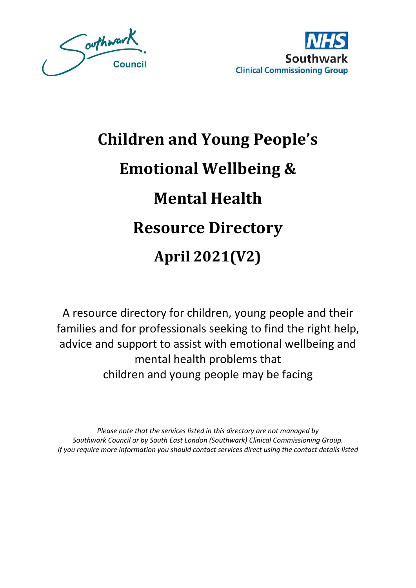



# **Children and Young People's Emotional Wellbeing & Mental Health Resource Directory April 2021(V2)**

A resource directory for children, young people and their families and for professionals seeking to find the right help, advice and support to assist with emotional wellbeing and mental health problems that children and young people may be facing

*Please note that the services listed in this directory are not managed by Southwark Council or by South East London (Southwark) Clinical Commissioning Group. If you require more information you should contact services direct using the contact details listed*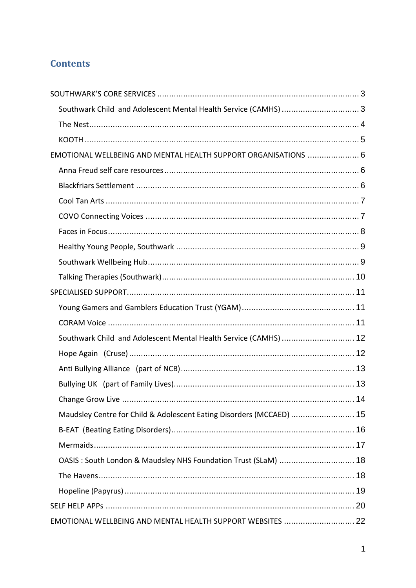# **Contents**

| Southwark Child and Adolescent Mental Health Service (CAMHS)  3      |      |
|----------------------------------------------------------------------|------|
|                                                                      |      |
|                                                                      |      |
| EMOTIONAL WELLBEING AND MENTAL HEALTH SUPPORT ORGANISATIONS  6       |      |
|                                                                      |      |
|                                                                      |      |
|                                                                      |      |
|                                                                      |      |
|                                                                      |      |
|                                                                      |      |
|                                                                      |      |
|                                                                      |      |
|                                                                      |      |
|                                                                      |      |
|                                                                      |      |
| Southwark Child and Adolescent Mental Health Service (CAMHS)  12     |      |
|                                                                      |      |
|                                                                      |      |
|                                                                      |      |
|                                                                      | . 14 |
| Maudsley Centre for Child & Adolescent Eating Disorders (MCCAED)  15 |      |
|                                                                      |      |
|                                                                      |      |
| OASIS : South London & Maudsley NHS Foundation Trust (SLaM)  18      |      |
|                                                                      |      |
|                                                                      |      |
|                                                                      |      |
| EMOTIONAL WELLBEING AND MENTAL HEALTH SUPPORT WEBSITES  22           |      |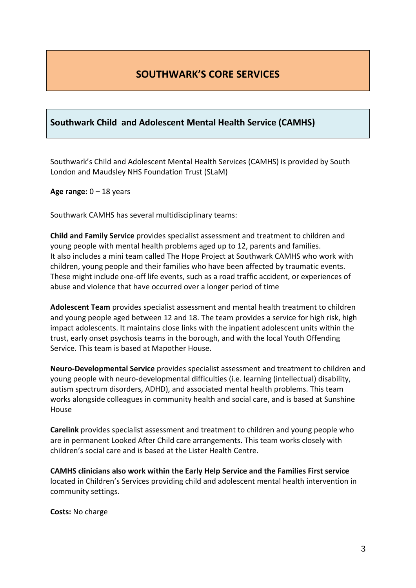# **SOUTHWARK'S CORE SERVICES**

## <span id="page-3-1"></span><span id="page-3-0"></span>**Southwark Child and Adolescent Mental Health Service (CAMHS)**

Southwark's Child and Adolescent Mental Health Services (CAMHS) is provided by South London and Maudsley NHS Foundation Trust (SLaM)

**Age range:** 0 – 18 years

Southwark CAMHS has several multidisciplinary teams:

**Child and Family Service** provides specialist assessment and treatment to children and young people with mental health problems aged up to 12, parents and families. It also includes a mini team called The Hope Project at Southwark CAMHS who work with children, young people and their families who have been affected by traumatic events. These might include one-off life events, such as a road traffic accident, or experiences of abuse and violence that have occurred over a longer period of time

**Adolescent Team** provides specialist assessment and mental health treatment to children and young people aged between 12 and 18. The team provides a service for high risk, high impact adolescents. It maintains close links with the inpatient adolescent units within the trust, early onset psychosis teams in the borough, and with the local Youth Offending Service. This team is based at Mapother House.

**Neuro-Developmental Service** provides specialist assessment and treatment to children and young people with neuro-developmental difficulties (i.e. learning (intellectual) disability, autism spectrum disorders, ADHD), and associated mental health problems. This team works alongside colleagues in community health and social care, and is based at Sunshine House

**Carelink** provides specialist assessment and treatment to children and young people who are in permanent Looked After Child care arrangements. This team works closely with children's social care and is based at the Lister Health Centre.

**CAMHS clinicians also work within the Early Help Service and the Families First service**  located in Children's Services providing child and adolescent mental health intervention in community settings.

**Costs:** No charge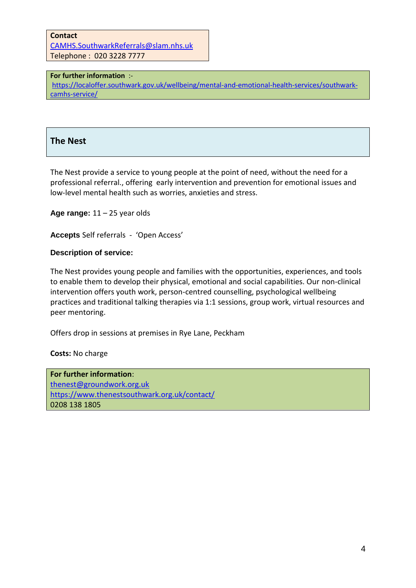**Contact** CAMHS.SouthwarkReferrals@slam.nhs.uk Telephone : 020 3228 7777

#### **For further information** :-

https://localoffer.southwark.gov.uk/wellbeing/mental-and-emotional-health-services/southwarkcamhs-service/

## <span id="page-4-0"></span>**The Nest**

The Nest provide a service to young people at the point of need, without the need for a professional referral., offering early intervention and prevention for emotional issues and low-level mental health such as worries, anxieties and stress.

**Age range:** 11 – 25 year olds

**Accepts** Self referrals - 'Open Access'

#### **Description of service:**

The Nest provides young people and families with the opportunities, experiences, and tools to enable them to develop their physical, emotional and social capabilities. Our non-clinical intervention offers youth work, person-centred counselling, psychological wellbeing practices and traditional talking therapies via 1:1 sessions, group work, virtual resources and peer mentoring.

Offers drop in sessions at premises in Rye Lane, Peckham

**Costs:** No charge

**For further information**: thenest@groundwork.org.uk https://www.thenestsouthwark.org.uk/contact/ 0208 138 1805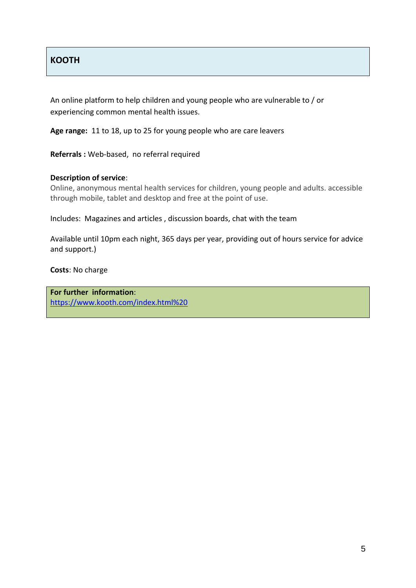## <span id="page-5-0"></span>**KOOTH**

An online platform to help children and young people who are vulnerable to / or experiencing common mental health issues.

**Age range:** 11 to 18, up to 25 for young people who are care leavers

**Referrals :** Web-based, no referral required

#### **Description of service**:

Online, anonymous mental health services for children, young people and adults. accessible through mobile, tablet and desktop and free at the point of use.

Includes: Magazines and articles , discussion boards, chat with the team

Available until 10pm each night, 365 days per year, providing out of hours service for advice and support.)

**Costs**: No charge

**For further information**: https://www.kooth.com/index.html%20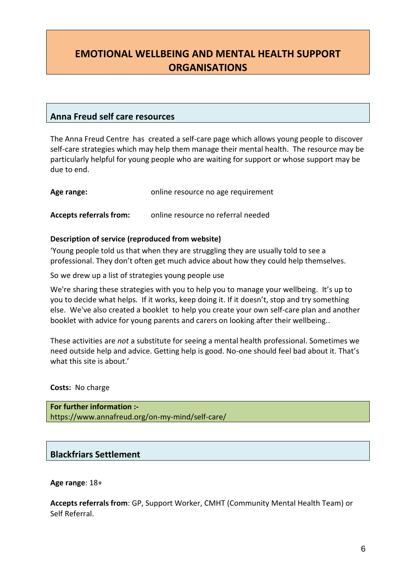# <span id="page-6-0"></span>**EMOTIONAL WELLBEING AND MENTAL HEALTH SUPPORT ORGANISATIONS**

## <span id="page-6-1"></span>**Anna Freud self care resources**

The Anna Freud Centre has created a self-care page which allows young people to discover self-care strategies which may help them manage their mental health. The resource may be particularly helpful for young people who are waiting for support or whose support may be due to end.

**Age range:** online resource no age requirement

**Accepts referrals from:** online resource no referral needed

#### **Description of service (reproduced from website)**

'Young people told us that when they are struggling they are usually told to see a professional. They don't often get much advice about how they could help themselves.

So we drew up a list of strategies young people use

We're sharing these strategies with you to help you to manage your wellbeing. It's up to you to decide what helps. If it works, keep doing it. If it doesn't, stop and try something else. We've also created a booklet to help you create your own self-care plan and another booklet with advice for young parents and carers on looking after their wellbeing..

These activities are *not* a substitute for seeing a mental health professional. Sometimes we need outside help and advice. Getting help is good. No-one should feel bad about it. That's what this site is about.'

**Costs:** No charge

**For further information :** https://www.annafreud.org/on-my-mind/self-care/

## <span id="page-6-2"></span>**Blackfriars Settlement**

**Age range**: 18+

**Accepts referrals from**: GP, Support Worker, CMHT (Community Mental Health Team) or Self Referral.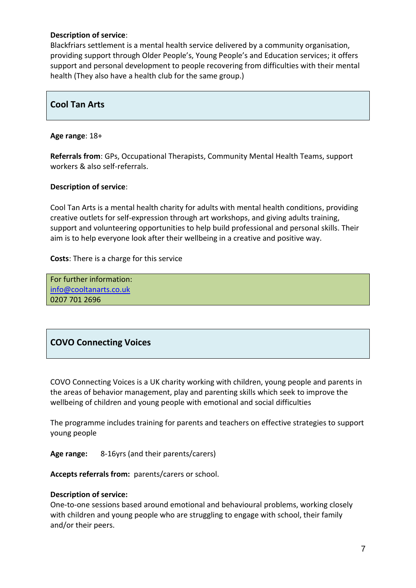#### **Description of service**:

Blackfriars settlement is a mental health service delivered by a community organisation, providing support through Older People's, Young People's and Education services; it offers support and personal development to people recovering from difficulties with their mental health (They also have a health club for the same group.)

## <span id="page-7-0"></span>**Cool Tan Arts**

#### **Age range**: 18+

**Referrals from**: GPs, Occupational Therapists, Community Mental Health Teams, support workers & also self-referrals.

#### **Description of service**:

Cool Tan Arts is a mental health charity for adults with mental health conditions, providing creative outlets for self-expression through art workshops, and giving adults training, support and volunteering opportunities to help build professional and personal skills. Their aim is to help everyone look after their wellbeing in a creative and positive way.

**Costs**: There is a charge for this service

For further information: info@cooltanarts.co.uk 0207 701 2696

## <span id="page-7-1"></span>**COVO Connecting Voices**

COVO Connecting Voices is a UK charity working with children, young people and parents in the areas of behavior management, play and parenting skills which seek to improve the wellbeing of children and young people with emotional and social difficulties

The programme includes training for parents and teachers on effective strategies to support young people

**Age range:** 8-16yrs (and their parents/carers)

**Accepts referrals from:** parents/carers or school.

#### **Description of service:**

One-to-one sessions based around emotional and behavioural problems, working closely with children and young people who are struggling to engage with school, their family and/or their peers.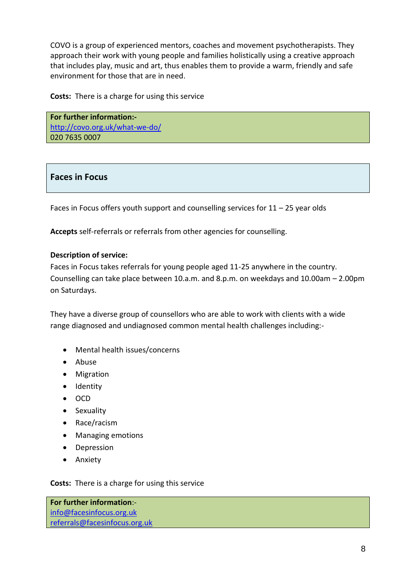COVO is a group of experienced mentors, coaches and movement psychotherapists. They approach their work with young people and families holistically using a creative approach that includes play, music and art, thus enables them to provide a warm, friendly and safe environment for those that are in need.

**Costs:** There is a charge for using this service

**For further information:** http://covo.org.uk/what-we-do/ 020 7635 0007

## <span id="page-8-0"></span>**Faces in Focus**

Faces in Focus offers youth support and counselling services for 11 – 25 year olds

**Accepts** self-referrals or referrals from other agencies for counselling.

#### **Description of service:**

Faces in Focus takes referrals for young people aged 11-25 anywhere in the country. Counselling can take place between 10.a.m. and 8.p.m. on weekdays and 10.00am – 2.00pm on Saturdays.

They have a diverse group of counsellors who are able to work with clients with a wide range diagnosed and undiagnosed common mental health challenges including:-

- Mental health issues/concerns
- Abuse
- Migration
- Identity
- $\bullet$  OCD
- Sexuality
- Race/racism
- Managing emotions
- Depression
- Anxiety

**Costs:** There is a charge for using this service

**For further information**: info@facesinfocus.org.uk referrals@facesinfocus.org.uk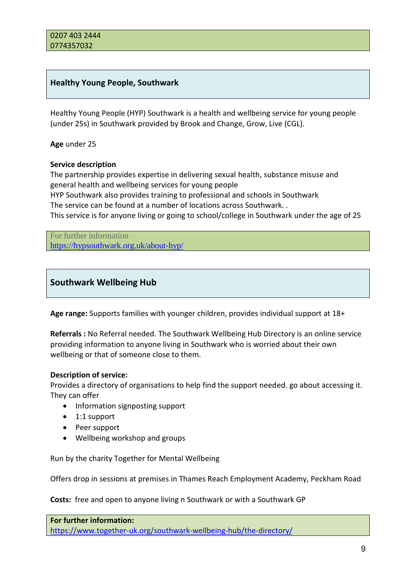## <span id="page-9-0"></span>**Healthy Young People, Southwark**

Healthy Young People (HYP) Southwark is a health and wellbeing service for young people (under 25s) in Southwark provided by Brook and Change, Grow, Live (CGL).

**Age** under 25

#### **Service description**

The partnership provides expertise in delivering sexual health, substance misuse and general health and wellbeing services for young people HYP Southwark also provides training to professional and schools in Southwark The service can be found at a number of locations across Southwark. . This service is for anyone living or going to school/college in Southwark under the age of 25

For further information https://hypsouthwark.org.uk/about-hyp/

## <span id="page-9-1"></span>**Southwark Wellbeing Hub**

**Age range:** Supports families with younger children, provides individual support at 18+

**Referrals :** No Referral needed. The Southwark Wellbeing Hub Directory is an online service providing information to anyone living in Southwark who is worried about their own wellbeing or that of someone close to them.

#### **Description of service:**

Provides a directory of organisations to help find the support needed. go about accessing it. They can offer

- Information signposting support
- 1:1 support
- Peer support
- Wellbeing workshop and groups

Run by the charity Together for Mental Wellbeing

Offers drop in sessions at premises in Thames Reach Employment Academy, Peckham Road

**Costs:** free and open to anyone living n Southwark or with a Southwark GP

**For further information:** https://www.together-uk.org/southwark-wellbeing-hub/the-directory/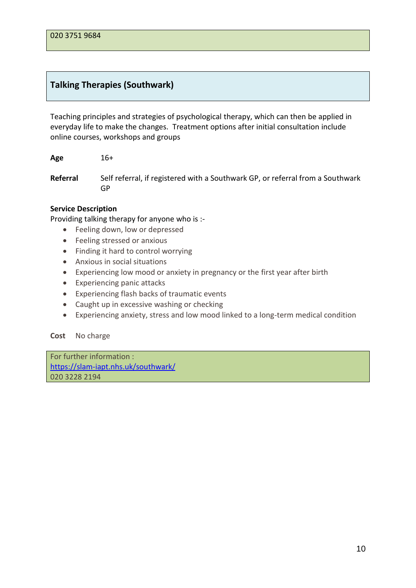## <span id="page-10-0"></span>**Talking Therapies (Southwark)**

Teaching principles and strategies of psychological therapy, which can then be applied in everyday life to make the changes. Treatment options after initial consultation include online courses, workshops and groups

**Age** 16+

**Referral** Self referral, if registered with a Southwark GP, or referral from a Southwark GP

#### **Service Description**

Providing talking therapy for anyone who is :-

- Feeling down, low or depressed
- Feeling stressed or anxious
- Finding it hard to control worrying
- Anxious in social situations
- Experiencing low mood or anxiety in pregnancy or the first year after birth
- Experiencing panic attacks
- Experiencing flash backs of traumatic events
- Caught up in excessive washing or checking
- Experiencing anxiety, stress and low mood linked to a long-term medical condition

#### **Cost** No charge

For further information : https://slam-iapt.nhs.uk/southwark/ 020 3228 2194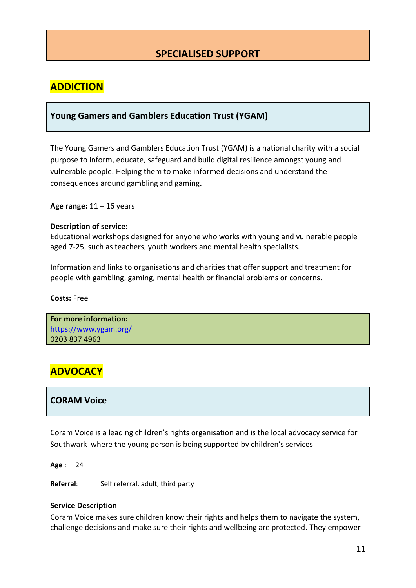# **SPECIALISED SUPPORT**

## <span id="page-11-0"></span>**ADDICTION**

#### <span id="page-11-1"></span>**Young Gamers and Gamblers Education Trust (YGAM)**

The Young Gamers and Gamblers Education Trust (YGAM) is a national charity with a social purpose to inform, educate, safeguard and build digital resilience amongst young and vulnerable people. Helping them to make informed decisions and understand the consequences around gambling and gaming**.**

**Age range:** 11 – 16 years

#### **Description of service:**

Educational workshops designed for anyone who works with young and vulnerable people aged 7-25, such as teachers, youth workers and mental health specialists.

Information and links to organisations and charities that offer support and treatment for people with gambling, gaming, mental health or financial problems or concerns.

**Costs:** Free

**For more information:** https://www.ygam.org/ 0203 837 4963

## **ADVOCACY**

#### <span id="page-11-2"></span>**CORAM Voice**

Coram Voice is a leading children's rights organisation and is the local advocacy service for Southwark where the young person is being supported by children's services

**Age** : 24

**Referral**: Self referral, adult, third party

#### **Service Description**

Coram Voice makes sure children know their rights and helps them to navigate the system, challenge decisions and make sure their rights and wellbeing are protected. They empower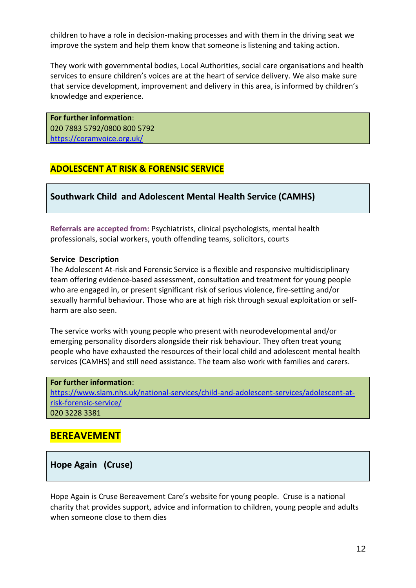children to have a role in decision-making processes and with them in the driving seat we improve the system and help them know that someone is listening and taking action.

They work with governmental bodies, Local Authorities, social care organisations and health services to ensure children's voices are at the heart of service delivery. We also make sure that service development, improvement and delivery in this area, is informed by children's knowledge and experience.

**For further information**: 020 7883 5792/0800 800 5792 https://coramvoice.org.uk/

## **ADOLESCENT AT RISK & FORENSIC SERVICE**

<span id="page-12-0"></span>**Southwark Child and Adolescent Mental Health Service (CAMHS)**

**Referrals are accepted from:** Psychiatrists, clinical psychologists, mental health professionals, social workers, youth offending teams, solicitors, courts

#### **Service Description**

The Adolescent At-risk and Forensic Service is a flexible and responsive multidisciplinary team offering evidence-based assessment, consultation and treatment for young people who are engaged in, or present significant risk of serious violence, fire-setting and/or sexually harmful behaviour. Those who are at high risk through sexual exploitation or selfharm are also seen.

The service works with young people who present with neurodevelopmental and/or emerging personality disorders alongside their risk behaviour. They often treat young people who have exhausted the resources of their local child and adolescent mental health services (CAMHS) and still need assistance. The team also work with families and carers.

#### **For further information**:

https://www.slam.nhs.uk/national-services/child-and-adolescent-services/adolescent-atrisk-forensic-service/ 020 3228 3381

## **BEREAVEMENT**

<span id="page-12-1"></span>**Hope Again (Cruse)**

Hope Again is Cruse Bereavement Care's website for young people. Cruse is a national charity that provides support, advice and information to children, young people and adults when someone close to them dies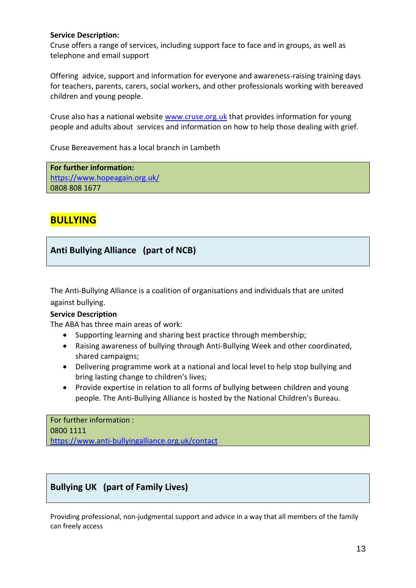#### **Service Description:**

Cruse offers a range of services, including support face to face and in groups, as well as telephone and email support

Offering advice, support and information for everyone and awareness-raising training days for teachers, parents, carers, social workers, and other professionals working with bereaved children and young people.

Cruse also has a national website www.cruse.org.uk that provides information for young people and adults about services and information on how to help those dealing with grief.

Cruse Bereavement has a local branch in Lambeth

**For further information:** https://www.hopeagain.org.uk/ 0808 808 1677

# **BULLYING**

## <span id="page-13-0"></span>**Anti Bullying Alliance (part of NCB)**

The Anti-Bullying Alliance is a coalition of organisations and individuals that are united against bullying.

#### **Service Description**

The ABA has three main areas of work:

- Supporting learning and sharing best practice through membership;
- Raising awareness of bullying through Anti-Bullying Week and other coordinated, shared campaigns;
- Delivering programme work at a national and local level to help stop bullying and bring lasting change to children's lives;
- Provide expertise in relation to all forms of bullying between children and young people. The Anti-Bullying Alliance is hosted by the National Children's Bureau.

For further information : 0800 1111 https://www.anti-bullyingalliance.org.uk/contact

## <span id="page-13-1"></span>**Bullying UK (part of Family Lives)**

Providing professional, non-judgmental support and advice in a way that all members of the family can freely access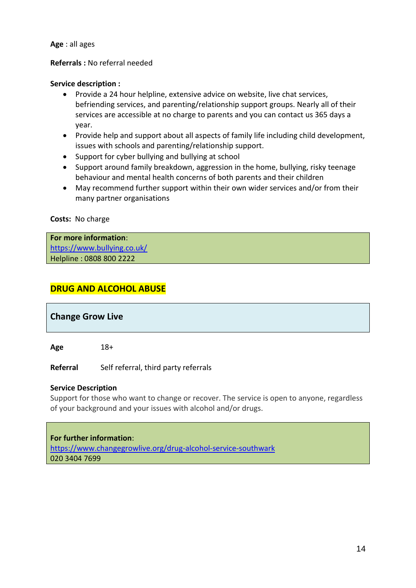**Age** : all ages

#### **Referrals :** No referral needed

#### **Service description :**

- Provide a 24 hour helpline, extensive advice on website, live chat services, befriending services, and parenting/relationship support groups. Nearly all of their services are accessible at no charge to parents and you can contact us 365 days a year.
- Provide help and support about all aspects of family life including child development, issues with schools and parenting/relationship support.
- Support for cyber bullying and bullying at school
- Support around family breakdown, aggression in the home, bullying, risky teenage behaviour and mental health concerns of both parents and their children
- May recommend further support within their own wider services and/or from their many partner organisations

#### **Costs:** No charge

**For more information**: https://www.bullying.co.uk/ Helpline : 0808 800 2222

## **DRUG AND ALCOHOL ABUSE**

## <span id="page-14-0"></span>**Change Grow Live**

**Age** 18+

**Referral** Self referral, third party referrals

#### **Service Description**

Support for those who want to change or recover. The service is open to anyone, regardless of your background and your issues with alcohol and/or drugs.

#### **For further information**:

https://www.changegrowlive.org/drug-alcohol-service-southwark 020 3404 7699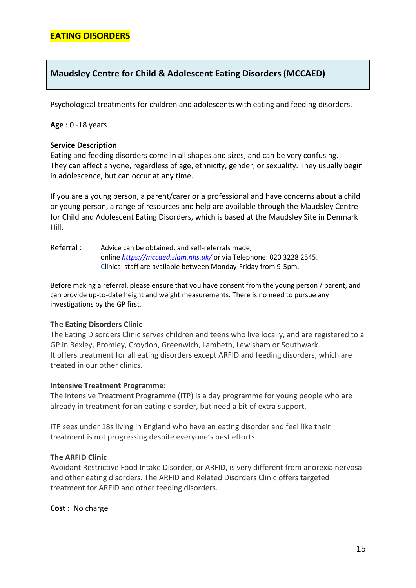## <span id="page-15-0"></span>**Maudsley Centre for Child & Adolescent Eating Disorders (MCCAED)**

Psychological treatments for children and adolescents with eating and feeding disorders.

#### **Age** : 0 -18 years

#### **Service Description**

Eating and feeding disorders come in all shapes and sizes, and can be very confusing. They can affect anyone, regardless of age, ethnicity, gender, or sexuality. They usually begin in adolescence, but can occur at any time.

If you are a young person, a parent/carer or a professional and have concerns about a child or young person, a range of resources and help are available through the Maudsley Centre for Child and Adolescent Eating Disorders, which is based at the Maudsley Site in Denmark Hill.

Referral : Advice can be obtained, and self-referrals made, online *https://mccaed.slam.nhs.uk/* or via Telephone: 020 3228 2545. Clinical staff are available between Monday-Friday from 9-5pm.

Before making a referral, please ensure that you have consent from the young person / parent, and can provide up-to-date height and weight measurements. There is no need to pursue any investigations by the GP first*.*

#### **The Eating Disorders Clinic**

The Eating Disorders Clinic serves children and teens who live locally, and are registered to a GP in Bexley, Bromley, Croydon, Greenwich, Lambeth, Lewisham or Southwark. It offers treatment for all eating disorders except ARFID and feeding disorders, which are treated in our other clinics.

#### **Intensive Treatment Programme:**

The Intensive Treatment Programme (ITP) is a day programme for young people who are already in treatment for an eating disorder, but need a bit of extra support.

ITP sees under 18s living in England who have an eating disorder and feel like their treatment is not progressing despite everyone's best efforts

#### **The ARFID Clinic**

Avoidant Restrictive Food Intake Disorder, or ARFID, is very different from anorexia nervosa and other eating disorders. The ARFID and Related Disorders Clinic offers targeted treatment for ARFID and other feeding disorders.

**Cost** : No charge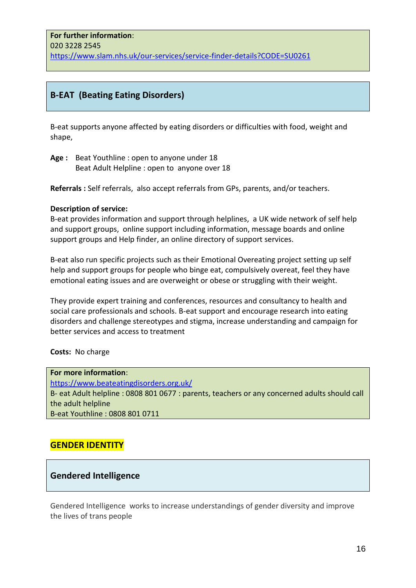## <span id="page-16-0"></span>**B-EAT (Beating Eating Disorders)**

B-eat supports anyone affected by eating disorders or difficulties with food, weight and shape,

**Age :** Beat Youthline : open to anyone under 18 Beat Adult Helpline : open to anyone over 18

**Referrals :** Self referrals, also accept referrals from GPs, parents, and/or teachers.

#### **Description of service:**

B-eat provides information and support through helplines, a UK wide network of self help and support groups, online support including information, message boards and online support groups and Help finder, an online directory of support services.

B-eat also run specific projects such as their Emotional Overeating project setting up self help and support groups for people who binge eat, compulsively overeat, feel they have emotional eating issues and are overweight or obese or struggling with their weight.

They provide expert training and conferences, resources and consultancy to health and social care professionals and schools. B-eat support and encourage research into eating disorders and challenge stereotypes and stigma, increase understanding and campaign for better services and access to treatment

#### **Costs:** No charge

**For more information**: https://www.beateatingdisorders.org.uk/ B- eat Adult helpline : 0808 801 0677 : parents, teachers or any concerned adults should call the adult helpline B-eat Youthline : 0808 801 0711

## **GENDER IDENTITY**

#### **Gendered Intelligence**

Gendered Intelligence works to increase understandings of gender diversity and improve the lives of trans people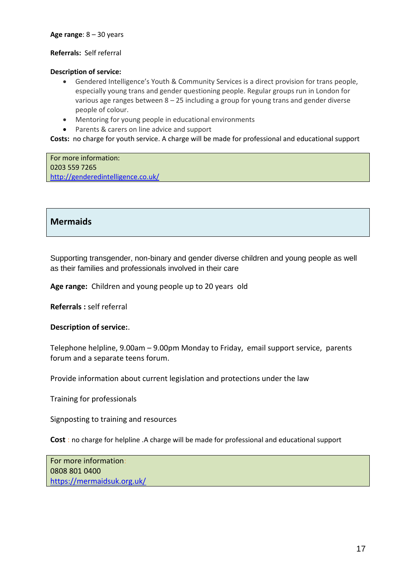#### **Age range**: 8 – 30 years

#### **Referrals:** Self referral

#### **Description of service:**

- Gendered Intelligence's Youth & Community Services is a direct provision for trans people, especially young trans and gender questioning people. Regular groups run in London for various age ranges between  $8 - 25$  including a group for young trans and gender diverse people of colour.
- Mentoring for young people in educational environments
- Parents & carers on line advice and support

**Costs:** no charge for youth service. A charge will be made for professional and educational support

For more information: 0203 559 7265 http://genderedintelligence.co.uk/

## <span id="page-17-0"></span>**Mermaids**

Supporting transgender, non-binary and gender diverse children and young people as well as their families and professionals involved in their care

**Age range:** Children and young people up to 20 years old

**Referrals :** self referral

#### **Description of service:**.

Telephone helpline, 9.00am – 9.00pm Monday to Friday, email support service, parents forum and a separate teens forum.

Provide information about current legislation and protections under the law

Training for professionals

Signposting to training and resources

**Cost** : no charge for helpline .A charge will be made for professional and educational support

For more information: 0808 801 0400 https://mermaidsuk.org.uk/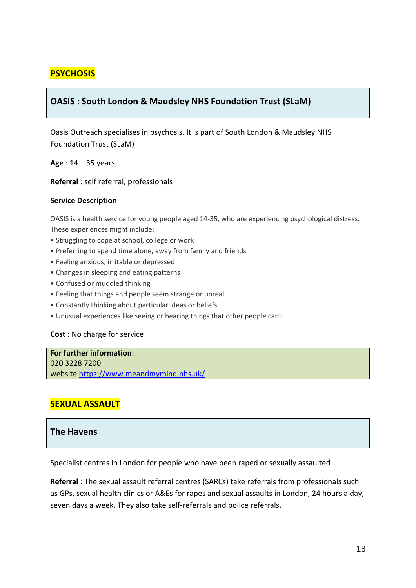## **PSYCHOSIS**

## <span id="page-18-0"></span>**OASIS : South London & Maudsley NHS Foundation Trust (SLaM)**

Oasis Outreach specialises in psychosis. It is part of South London & Maudsley NHS Foundation Trust (SLaM)

**Age** : 14 – 35 years

**Referral** : self referral, professionals

#### **Service Description**

OASIS is a health service for young people aged 14-35, who are experiencing psychological distress. These experiences might include:

- Struggling to cope at school, college or work
- Preferring to spend time alone, away from family and friends
- Feeling anxious, irritable or depressed
- Changes in sleeping and eating patterns
- Confused or muddled thinking
- Feeling that things and people seem strange or unreal
- Constantly thinking about particular ideas or beliefs
- Unusual experiences like seeing or hearing things that other people cant.

#### **Cost** : No charge for service

**For further information**: 020 3228 7200 website https://www.meandmymind.nhs.uk/

## **SEXUAL ASSAULT**

#### <span id="page-18-1"></span>**The Havens**

Specialist centres in London for people who have been raped or sexually assaulted

**Referral** : The sexual assault referral centres (SARCs) take referrals from professionals such as GPs, sexual health clinics or A&Es for rapes and sexual assaults in London, 24 hours a day, seven days a week. They also take self-referrals and police referrals.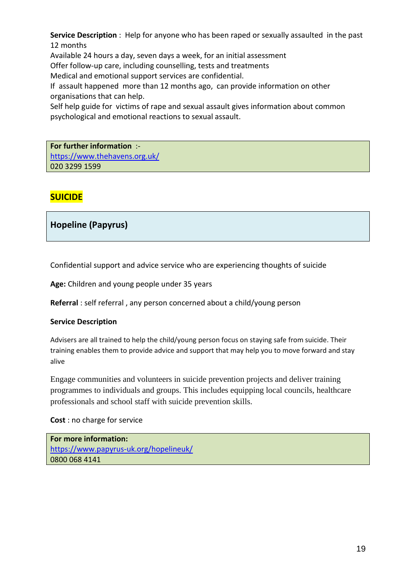**Service Description** : Help for anyone who has been raped or sexually assaulted in the past 12 months

Available 24 hours a day, seven days a week, for an initial assessment

Offer follow-up care, including counselling, tests and treatments

Medical and emotional support services are confidential.

If assault happened more than 12 months ago, can provide information on other organisations that can help.

Self help guide for victims of rape and sexual assault gives information about common psychological and emotional reactions to sexual assault.

**For further information** : https://www.thehavens.org.uk/ 020 3299 1599

## **SUICIDE**

<span id="page-19-0"></span>**Hopeline (Papyrus)** 

Confidential support and advice service who are experiencing thoughts of suicide

**Age:** Children and young people under 35 years

**Referral** : self referral , any person concerned about a child/young person

#### **Service Description**

Advisers are all trained to help the child/young person focus on staying safe from suicide. Their training enables them to provide advice and support that may help you to move forward and stay alive

Engage communities and volunteers in suicide prevention projects and deliver training programmes to individuals and groups. This includes equipping local councils, healthcare professionals and school staff with suicide prevention skills.

**Cost** : no charge for service

**For more information:** https://www.papyrus-uk.org/hopelineuk/ 0800 068 4141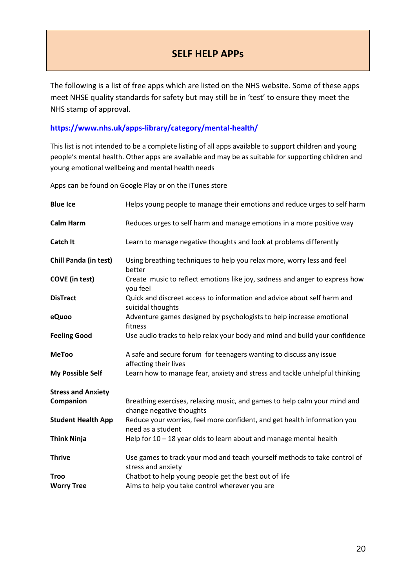# **SELF HELP APPs**

<span id="page-20-0"></span>The following is a list of free apps which are listed on the NHS website. Some of these apps meet NHSE quality standards for safety but may still be in 'test' to ensure they meet the NHS stamp of approval.

#### **https://www.nhs.uk/apps-library/category/mental-health/**

This list is not intended to be a complete listing of all apps available to support children and young people's mental health. Other apps are available and may be as suitable for supporting children and young emotional wellbeing and mental health needs

Apps can be found on Google Play or on the iTunes store

| <b>Blue Ice</b>           | Helps young people to manage their emotions and reduce urges to self harm                             |
|---------------------------|-------------------------------------------------------------------------------------------------------|
| <b>Calm Harm</b>          | Reduces urges to self harm and manage emotions in a more positive way                                 |
| <b>Catch It</b>           | Learn to manage negative thoughts and look at problems differently                                    |
| Chill Panda (in test)     | Using breathing techniques to help you relax more, worry less and feel<br>better                      |
| <b>COVE</b> (in test)     | Create music to reflect emotions like joy, sadness and anger to express how<br>you feel               |
| <b>DisTract</b>           | Quick and discreet access to information and advice about self harm and<br>suicidal thoughts          |
| eQuoo                     | Adventure games designed by psychologists to help increase emotional<br>fitness                       |
| <b>Feeling Good</b>       | Use audio tracks to help relax your body and mind and build your confidence                           |
| <b>MeToo</b>              | A safe and secure forum for teenagers wanting to discuss any issue<br>affecting their lives           |
| <b>My Possible Self</b>   | Learn how to manage fear, anxiety and stress and tackle unhelpful thinking                            |
| <b>Stress and Anxiety</b> |                                                                                                       |
| Companion                 | Breathing exercises, relaxing music, and games to help calm your mind and<br>change negative thoughts |
| <b>Student Health App</b> | Reduce your worries, feel more confident, and get health information you<br>need as a student         |
| <b>Think Ninja</b>        | Help for $10 - 18$ year olds to learn about and manage mental health                                  |
| <b>Thrive</b>             | Use games to track your mod and teach yourself methods to take control of<br>stress and anxiety       |
| <b>Troo</b>               | Chatbot to help young people get the best out of life                                                 |
| <b>Worry Tree</b>         | Aims to help you take control wherever you are                                                        |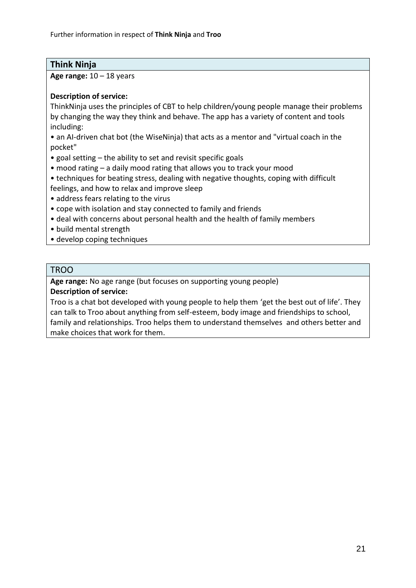## **Think Ninja**

**Age range:** 10 – 18 years

## **Description of service:**

ThinkNinja uses the principles of CBT to help children/young people manage their problems by changing the way they think and behave. The app has a variety of content and tools including:

• an AI-driven chat bot (the WiseNinja) that acts as a mentor and "virtual coach in the pocket"

- goal setting the ability to set and revisit specific goals
- mood rating a daily mood rating that allows you to track your mood
- techniques for beating stress, dealing with negative thoughts, coping with difficult feelings, and how to relax and improve sleep
- address fears relating to the virus
- cope with isolation and stay connected to family and friends
- deal with concerns about personal health and the health of family members
- build mental strength
- develop coping techniques

## TROO

**Age range:** No age range (but focuses on supporting young people)

**Description of service:**

Troo is a chat bot developed with young people to help them 'get the best out of life'. They can talk to Troo about anything from self-esteem, body image and friendships to school, family and relationships. Troo helps them to understand themselves and others better and make choices that work for them.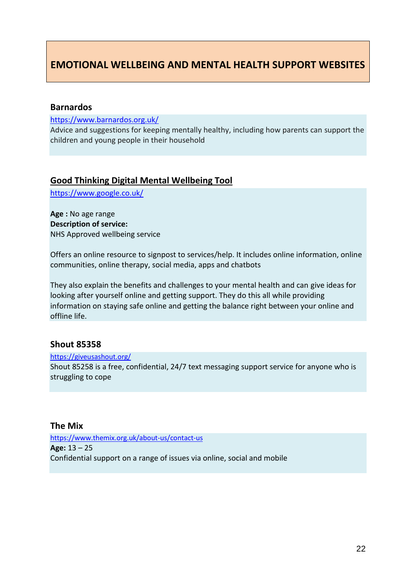# <span id="page-22-0"></span>**EMOTIONAL WELLBEING AND MENTAL HEALTH SUPPORT WEBSITES**

#### <span id="page-22-1"></span>**Barnardos**

https://www.barnardos.org.uk/

Advice and suggestions for keeping mentally healthy, including how parents can support the children and young people in their household

#### <span id="page-22-2"></span>**Good Thinking Digital Mental Wellbeing Tool**

https://www.google.co.uk/

**Age :** No age range **Description of service:** NHS Approved wellbeing service

Offers an online resource to signpost to services/help. It includes online information, online communities, online therapy, social media, apps and chatbots

They also explain the benefits and challenges to your mental health and can give ideas for looking after yourself online and getting support. They do this all while providing information on staying safe online and getting the balance right between your online and offline life.

## <span id="page-22-3"></span>**Shout 85358**

https://giveusashout.org/ Shout 85258 is a free, confidential, 24/7 text messaging support service for anyone who is struggling to cope

#### <span id="page-22-4"></span>**The Mix**

https://www.themix.org.uk/about-us/contact-us **Age:** 13 – 25 Confidential support on a range of issues via online, social and mobile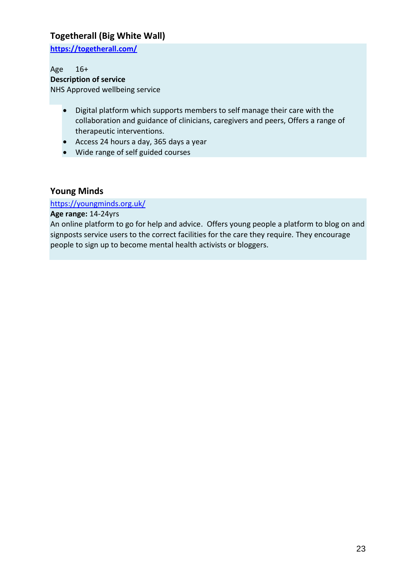## <span id="page-23-0"></span>**Togetherall (Big White Wall)**

**https://togetherall.com/**

Age 16+ **Description of service** NHS Approved wellbeing service

- Digital platform which supports members to self manage their care with the collaboration and guidance of clinicians, caregivers and peers, Offers a range of therapeutic interventions.
- Access 24 hours a day, 365 days a year
- Wide range of self guided courses

## <span id="page-23-1"></span>**Young Minds**

#### https://youngminds.org.uk/

**Age range:** 14-24yrs

An online platform to go for help and advice. Offers young people a platform to blog on and signposts service users to the correct facilities for the care they require. They encourage people to sign up to become mental health activists or bloggers.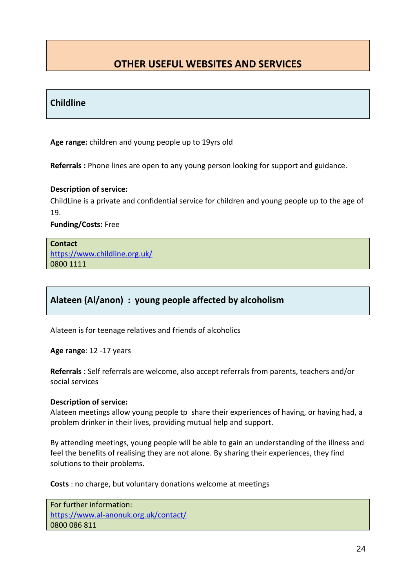# <span id="page-24-0"></span>**OTHER USEFUL WEBSITES AND SERVICES**

## <span id="page-24-1"></span>**Childline**

**Age range:** children and young people up to 19yrs old

**Referrals :** Phone lines are open to any young person looking for support and guidance.

#### **Description of service:**

ChildLine is a private and confidential service for children and young people up to the age of 19.

**Funding/Costs:** Free

**Contact**  https://www.childline.org.uk/ 0800 1111

## <span id="page-24-2"></span>**Alateen (Al/anon) : young people affected by alcoholism**

Alateen is for teenage relatives and friends of alcoholics

**Age range**: 12 -17 years

**Referrals** : Self referrals are welcome, also accept referrals from parents, teachers and/or social services

#### **Description of service:**

Alateen meetings allow young people tp share their experiences of having, or having had, a problem drinker in their lives, providing mutual help and support.

By attending meetings, young people will be able to gain an understanding of the illness and feel the benefits of realising they are not alone. By sharing their experiences, they find solutions to their problems.

**Costs** : no charge, but voluntary donations welcome at meetings

For further information: https://www.al-anonuk.org.uk/contact/ 0800 086 811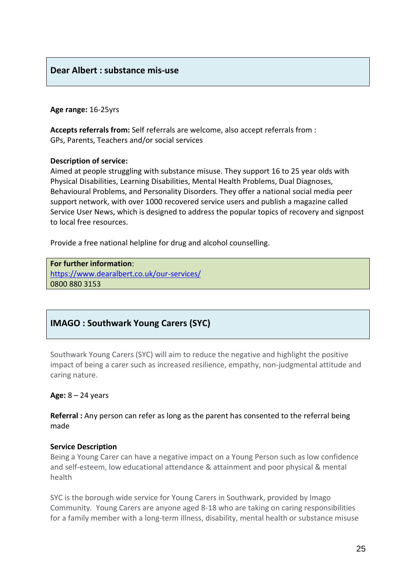## <span id="page-25-0"></span>**Dear Albert : substance mis-use**

#### **Age range:** 16-25yrs

**Accepts referrals from:** Self referrals are welcome, also accept referrals from : GPs, Parents, Teachers and/or social services

#### **Description of service:**

Aimed at people struggling with substance misuse. They support 16 to 25 year olds with Physical Disabilities, Learning Disabilities, Mental Health Problems, Dual Diagnoses, Behavioural Problems, and Personality Disorders. They offer a national social media peer support network, with over 1000 recovered service users and publish a magazine called Service User News, which is designed to address the popular topics of recovery and signpost to local free resources.

Provide a free national helpline for drug and alcohol counselling.

**For further information**: https://www.dearalbert.co.uk/our-services/ 0800 880 3153

## <span id="page-25-1"></span>**IMAGO : Southwark Young Carers (SYC)**

Southwark Young Carers (SYC) will aim to reduce the negative and highlight the positive impact of being a carer such as increased resilience, empathy, non-judgmental attitude and caring nature.

#### **Age:** 8 – 24 years

**Referral :** Any person can refer as long as the parent has consented to the referral being made

#### **Service Description**

Being a Young Carer can have a negative impact on a Young Person such as low confidence and self-esteem, low educational attendance & attainment and poor physical & mental health

SYC is the borough wide service for Young Carers in Southwark, provided by Imago Community. Young Carers are anyone aged 8-18 who are taking on caring responsibilities for a family member with a long-term illness, disability, mental health or substance misuse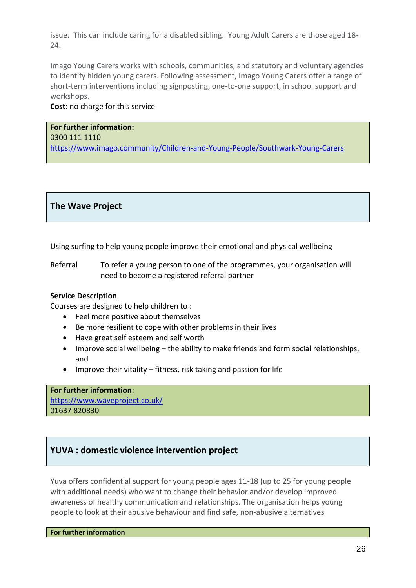issue. This can include caring for a disabled sibling. Young Adult Carers are those aged 18- 24.

Imago Young Carers works with schools, communities, and statutory and voluntary agencies to identify hidden young carers. Following assessment, Imago Young Carers offer a range of short-term interventions including signposting, one-to-one support, in school support and workshops.

#### **Cost**: no charge for this service

### **For further information:** 0300 111 1110 https://www.imago.community/Children-and-Young-People/Southwark-Young-Carers

## <span id="page-26-0"></span>**The Wave Project**

Using surfing to help young people improve their emotional and physical wellbeing

Referral To refer a young person to one of the programmes, your organisation will need to become a registered referral partner

#### **Service Description**

Courses are designed to help children to :

- Feel more positive about themselves
- Be more resilient to cope with other problems in their lives
- Have great self esteem and self worth
- Improve social wellbeing the ability to make friends and form social relationships, and
- Improve their vitality fitness, risk taking and passion for life

**For further information**: https://www.waveproject.co.uk/ 01637 820830

## <span id="page-26-1"></span>**YUVA : domestic violence intervention project**

Yuva offers confidential support for young people ages 11-18 (up to 25 for young people with additional needs) who want to change their behavior and/or develop improved awareness of healthy communication and relationships. The organisation helps young people to look at their abusive behaviour and find safe, non-abusive alternatives

**For further information**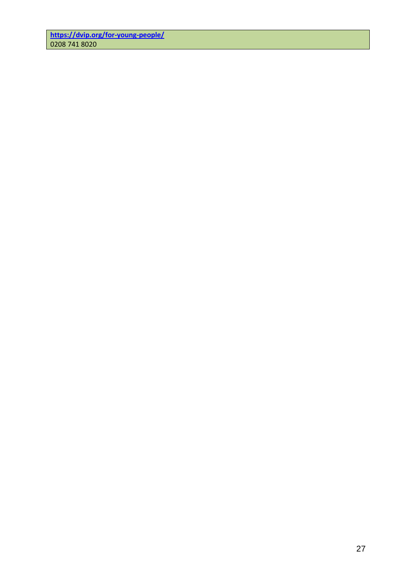**https://dvip.org/for-young-people/** 0208 741 8020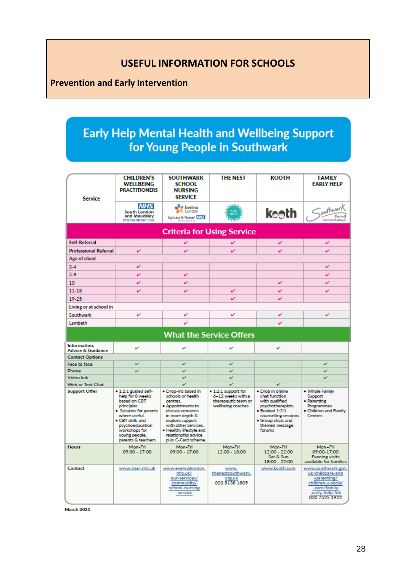# **USEFUL INFORMATION FOR SCHOOLS**

# <span id="page-28-1"></span><span id="page-28-0"></span>**Prevention and Early Intervention**

# Early Help Mental Health and Wellbeing Support for Young People in Southwark

| <b>Service</b>                           | <b>CHILDREN'S</b><br>WELLBEING<br><b>PRACTITIONERS</b>                                                                                                                                                            | <b>SOUTHWARK</b><br><b>SCHOOL</b><br><b>NURSING</b><br><b>SERVICE</b>                                                                                                                                                                                | <b>THE NEST</b>                                                                           | <b>KOOTH</b>                                                                                                                                                                 | <b>FAMILY</b><br><b>EARLY HELP</b>                                                         |  |  |  |  |  |
|------------------------------------------|-------------------------------------------------------------------------------------------------------------------------------------------------------------------------------------------------------------------|------------------------------------------------------------------------------------------------------------------------------------------------------------------------------------------------------------------------------------------------------|-------------------------------------------------------------------------------------------|------------------------------------------------------------------------------------------------------------------------------------------------------------------------------|--------------------------------------------------------------------------------------------|--|--|--|--|--|
|                                          | <b>NHS</b><br>South London<br>and Maudsley<br><b>NHS Foundation Trust</b>                                                                                                                                         | <b>B</b> Eveling<br><b>London</b><br>Guy's and St Thomas' MASS                                                                                                                                                                                       |                                                                                           | ke⊜th                                                                                                                                                                        | southwart<br>Council<br>southwark.gou.k                                                    |  |  |  |  |  |
| <b>Criteria for Using Service</b>        |                                                                                                                                                                                                                   |                                                                                                                                                                                                                                                      |                                                                                           |                                                                                                                                                                              |                                                                                            |  |  |  |  |  |
| Self-Referral                            |                                                                                                                                                                                                                   | v                                                                                                                                                                                                                                                    | ✓                                                                                         | v                                                                                                                                                                            | v                                                                                          |  |  |  |  |  |
| <b>Professional Referral</b>             | v                                                                                                                                                                                                                 | v                                                                                                                                                                                                                                                    |                                                                                           |                                                                                                                                                                              |                                                                                            |  |  |  |  |  |
| Age of client                            |                                                                                                                                                                                                                   |                                                                                                                                                                                                                                                      |                                                                                           |                                                                                                                                                                              |                                                                                            |  |  |  |  |  |
| $3-4$                                    | v                                                                                                                                                                                                                 |                                                                                                                                                                                                                                                      |                                                                                           |                                                                                                                                                                              | v                                                                                          |  |  |  |  |  |
| 5.9                                      | v                                                                                                                                                                                                                 | v                                                                                                                                                                                                                                                    |                                                                                           |                                                                                                                                                                              | v                                                                                          |  |  |  |  |  |
| 10                                       | v                                                                                                                                                                                                                 | v                                                                                                                                                                                                                                                    |                                                                                           | v                                                                                                                                                                            | v                                                                                          |  |  |  |  |  |
| $11 - 18$                                |                                                                                                                                                                                                                   |                                                                                                                                                                                                                                                      | v                                                                                         |                                                                                                                                                                              | v                                                                                          |  |  |  |  |  |
| 19-25                                    |                                                                                                                                                                                                                   |                                                                                                                                                                                                                                                      | v                                                                                         | v                                                                                                                                                                            |                                                                                            |  |  |  |  |  |
| Living or at school in                   |                                                                                                                                                                                                                   |                                                                                                                                                                                                                                                      |                                                                                           |                                                                                                                                                                              |                                                                                            |  |  |  |  |  |
| Southwark                                | v                                                                                                                                                                                                                 | v                                                                                                                                                                                                                                                    | ✓                                                                                         | v                                                                                                                                                                            | v                                                                                          |  |  |  |  |  |
| Lambeth                                  |                                                                                                                                                                                                                   |                                                                                                                                                                                                                                                      |                                                                                           |                                                                                                                                                                              |                                                                                            |  |  |  |  |  |
|                                          |                                                                                                                                                                                                                   |                                                                                                                                                                                                                                                      | <b>What the Service Offers</b>                                                            |                                                                                                                                                                              |                                                                                            |  |  |  |  |  |
|                                          |                                                                                                                                                                                                                   |                                                                                                                                                                                                                                                      |                                                                                           |                                                                                                                                                                              |                                                                                            |  |  |  |  |  |
| Information,                             | v                                                                                                                                                                                                                 |                                                                                                                                                                                                                                                      |                                                                                           | v                                                                                                                                                                            |                                                                                            |  |  |  |  |  |
| <b>Advice &amp; Guidance</b>             |                                                                                                                                                                                                                   | v                                                                                                                                                                                                                                                    | v                                                                                         |                                                                                                                                                                              |                                                                                            |  |  |  |  |  |
| <b>Contact Options</b>                   |                                                                                                                                                                                                                   |                                                                                                                                                                                                                                                      |                                                                                           |                                                                                                                                                                              |                                                                                            |  |  |  |  |  |
| Face to face                             | v                                                                                                                                                                                                                 | v                                                                                                                                                                                                                                                    | v                                                                                         |                                                                                                                                                                              | v                                                                                          |  |  |  |  |  |
| Phone                                    | v                                                                                                                                                                                                                 | v                                                                                                                                                                                                                                                    | v                                                                                         |                                                                                                                                                                              | v                                                                                          |  |  |  |  |  |
| <b>Video link</b>                        |                                                                                                                                                                                                                   | v                                                                                                                                                                                                                                                    | v                                                                                         | v                                                                                                                                                                            | v                                                                                          |  |  |  |  |  |
| Web or Text Chat<br><b>Support Offer</b> | · 1:2:1 guided self-<br>help for 8 weeks<br>based on CBT<br>principles<br>· Sessions for parents<br>where useful.<br>. CBT skills and<br>psychoeducation<br>workshops for<br>young people,<br>parents & teachers. | $\mathbf{v}$<br>. Drop-ins based in<br>schools or health<br>centres.<br>· Appointments to<br>discuss concerns<br>in more depth &<br>explore support<br>with other services.<br>. Healthy lifestyle and<br>relationship advice<br>plus C-Card scheme. | v<br>. 1:2:1 support for<br>6-12 weeks with a<br>therapeutic team or<br>wellbeing coaches | · Drop in online<br>chat function<br>with qualified<br>psychotherapists.<br>$\bullet$ Booked 1:2:1<br>counselling sessions.<br>· Group chats and<br>themed message<br>forums | . Whole Family<br>Support<br>· Parenting<br>Programmes<br>. Children and Family<br>Centres |  |  |  |  |  |
| <b>Hours</b>                             | Mon-Fri<br>09:00 - 17:00                                                                                                                                                                                          | Mon-Fri<br>09:00 - 17:00                                                                                                                                                                                                                             | Mon-Fri<br>$12:00 - 18:00$                                                                | Mon-Fri<br>12:00 - 22:00<br>Sat & Sun<br>18:00 - 22:00                                                                                                                       | Mon-Fri<br>09:00-17:00<br><b>Evening visits</b><br>available for families                  |  |  |  |  |  |

March 2021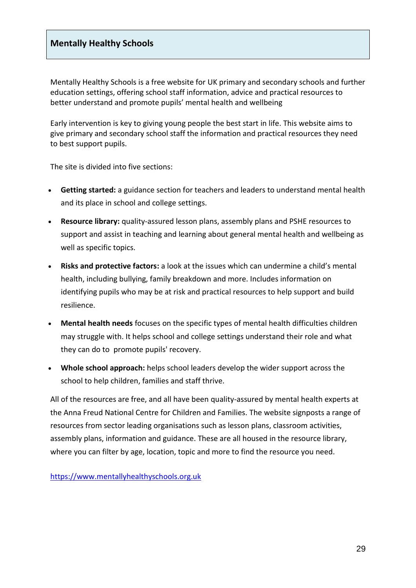## <span id="page-29-0"></span>**Mentally Healthy Schools**

Mentally Healthy Schools is a free website for UK primary and secondary schools and further education settings, offering school staff information, advice and practical resources to better understand and promote pupils' mental health and wellbeing

Early intervention is key to giving young people the best start in life. This website aims to give primary and secondary school staff the information and practical resources they need to best support pupils.

The site is divided into five sections:

- **Getting started:** a guidance section for teachers and leaders to understand mental health and its place in school and college settings.
- **Resource library:** quality-assured lesson plans, assembly plans and PSHE resources to support and assist in teaching and learning about general mental health and wellbeing as well as specific topics.
- **Risks and protective factors:** a look at the issues which can undermine a child's mental health, including bullying, family breakdown and more. Includes information on identifying pupils who may be at risk and practical resources to help support and build resilience.
- **Mental health needs** focuses on the specific types of mental health difficulties children may struggle with. It helps school and college settings understand their role and what they can do to promote pupils' recovery.
- **Whole school approach:** helps school leaders develop the wider support across the school to help children, families and staff thrive.

All of the resources are free, and all have been quality-assured by mental health experts at the Anna Freud National Centre for Children and Families. The website signposts a range of resources from sector leading organisations such as lesson plans, classroom activities, assembly plans, information and guidance. These are all housed in the resource library, where you can filter by age, location, topic and more to find the resource you need.

https://www.mentallyhealthyschools.org.uk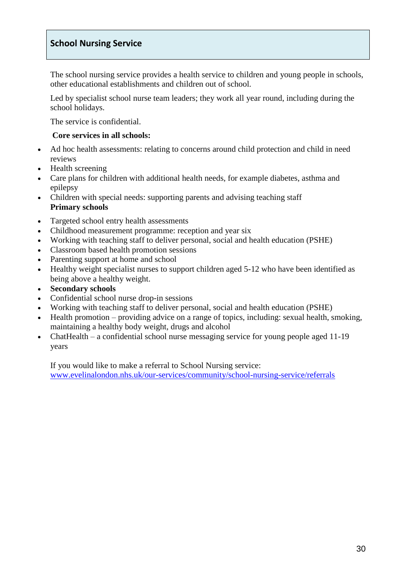## <span id="page-30-0"></span>**School Nursing Service**

The school nursing service provides a health service to children and young people in schools, other educational establishments and children out of school.

Led by specialist school nurse team leaders; they work all year round, including during the school holidays.

The service is confidential.

#### **Core services in all schools:**

- Ad hoc health assessments: relating to concerns around child protection and child in need reviews
- Health screening
- Care plans for children with additional health needs, for example diabetes, asthma and epilepsy
- Children with special needs: supporting parents and advising teaching staff **Primary schools**
- Targeted school entry health assessments
- Childhood measurement programme: reception and year six
- Working with teaching staff to deliver personal, social and health education (PSHE)
- Classroom based health promotion sessions
- Parenting support at home and school
- Healthy weight specialist nurses to support children aged 5-12 who have been identified as being above a healthy weight.
- **Secondary schools**
- Confidential school nurse drop-in sessions
- Working with teaching staff to deliver personal, social and health education (PSHE)
- Health promotion providing advice on a range of topics, including: sexual health, smoking, maintaining a healthy body weight, drugs and alcohol
- ChatHealth a confidential school nurse messaging service for young people aged 11-19 years

If you would like to make a referral to School Nursing service: www.evelinalondon.nhs.uk/our-services/community/school-nursing-service/referrals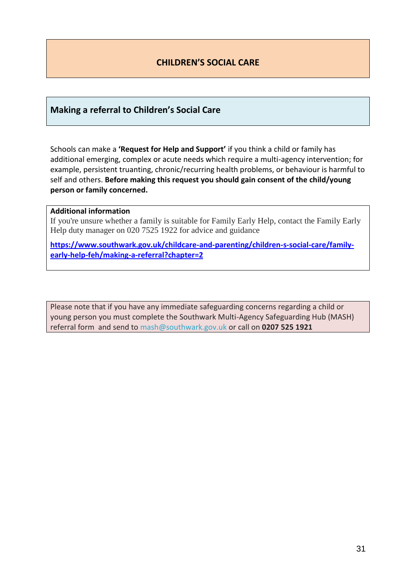## **CHILDREN'S SOCIAL CARE**

### <span id="page-31-1"></span><span id="page-31-0"></span>**Making a referral to Children's Social Care**

Schools can make a **'Request for Help and Support'** if you think a child or family has additional emerging, complex or acute needs which require a multi-agency intervention; for example, persistent truanting, chronic/recurring health problems, or behaviour is harmful to self and others. **Before making this request you should gain consent of the child/young person or family concerned.**

#### **Additional information**

If you're unsure whether a family is suitable for Family Early Help, contact the Family Early Help duty manager on 020 7525 1922 for advice and guidance

**https://www.southwark.gov.uk/childcare-and-parenting/children-s-social-care/familyearly-help-feh/making-a-referral?chapter=2**

Please note that if you have any immediate safeguarding concerns regarding a child or young person you must complete the Southwark Multi-Agency Safeguarding Hub (MASH) referral form and send to mash@southwark.gov.uk or call on **0207 525 1921**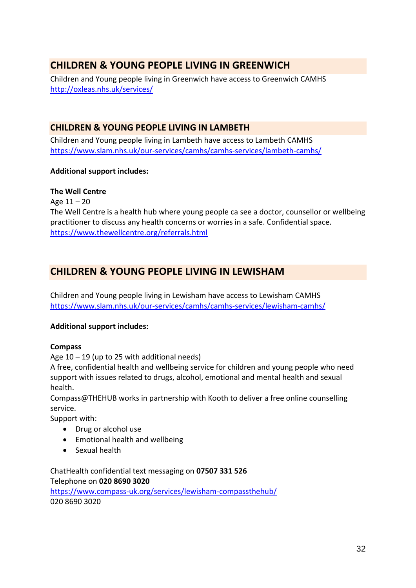# <span id="page-32-0"></span>**CHILDREN & YOUNG PEOPLE LIVING IN GREENWICH**

Children and Young people living in Greenwich have access to Greenwich CAMHS http://oxleas.nhs.uk/services/

## <span id="page-32-1"></span>**CHILDREN & YOUNG PEOPLE LIVING IN LAMBETH**

Children and Young people living in Lambeth have access to Lambeth CAMHS https://www.slam.nhs.uk/our-services/camhs/camhs-services/lambeth-camhs/

## **Additional support includes:**

## **The Well Centre**

Age 11 – 20

The Well Centre is a health hub where young people ca see a doctor, counsellor or wellbeing practitioner to discuss any health concerns or worries in a safe. Confidential space. https://www.thewellcentre.org/referrals.html

# <span id="page-32-2"></span>**CHILDREN & YOUNG PEOPLE LIVING IN LEWISHAM**

Children and Young people living in Lewisham have access to Lewisham CAMHS https://www.slam.nhs.uk/our-services/camhs/camhs-services/lewisham-camhs/

## **Additional support includes:**

#### **Compass**

Age 10 – 19 (up to 25 with additional needs)

A free, confidential health and wellbeing service for children and young people who need support with issues related to drugs, alcohol, emotional and mental health and sexual health.

Compass@THEHUB works in partnership with Kooth to deliver a free online counselling service.

Support with:

- Drug or alcohol use
- Emotional health and wellbeing
- Sexual health

ChatHealth confidential text messaging on **07507 331 526** Telephone on **020 8690 3020** https://www.compass-uk.org/services/lewisham-compassthehub/ 020 8690 3020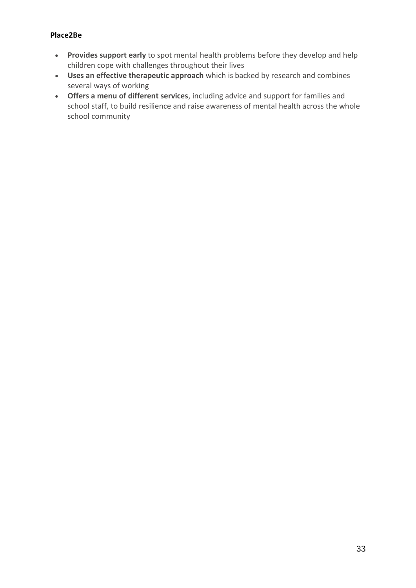#### **Place2Be**

- **Provides support early** to spot mental health problems before they develop and help children cope with challenges throughout their lives
- **Uses an effective therapeutic approach** which is backed by research and combines several ways of working
- **Offers a menu of different services**, including advice and support for families and school staff, to build resilience and raise awareness of mental health across the whole school community